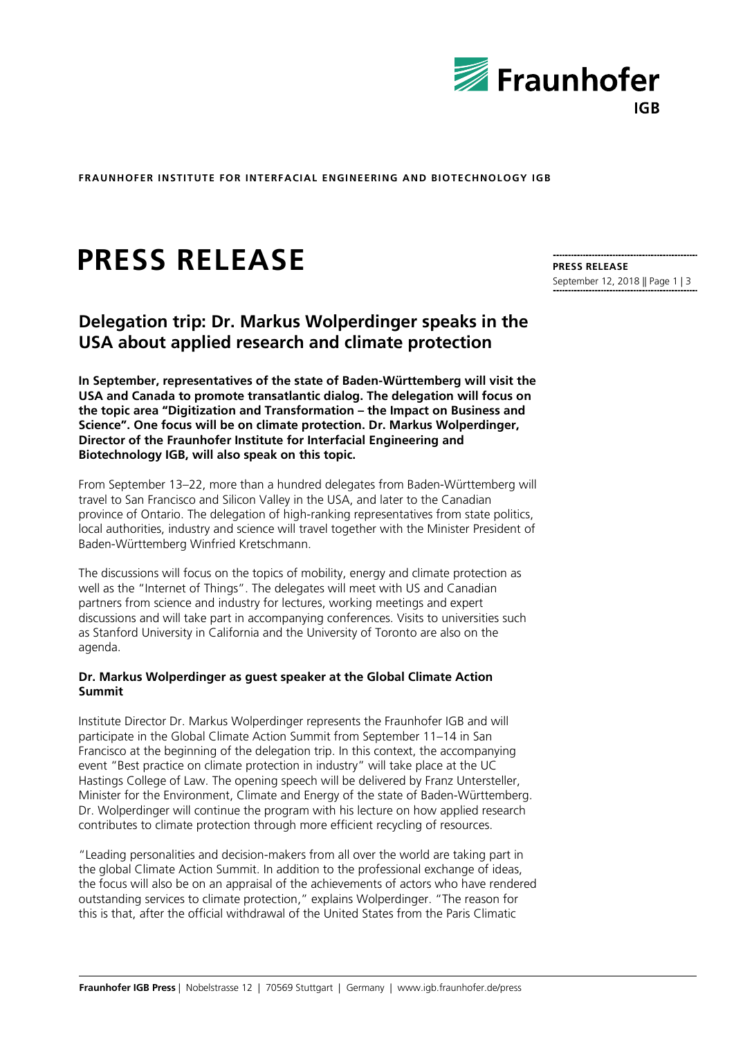

**FRAUNHOFER INSTITUTE FOR INTERFACIAL ENGINEERING AND BIOTECHNOLOGY IGB**

# **PRESS RELEASE**

**Delegation trip: Dr. Markus Wolperdinger speaks in the USA about applied research and climate protection**

**In September, representatives of the state of Baden-Württemberg will visit the USA and Canada to promote transatlantic dialog. The delegation will focus on the topic area "Digitization and Transformation – the Impact on Business and Science". One focus will be on climate protection. Dr. Markus Wolperdinger, Director of the Fraunhofer Institute for Interfacial Engineering and Biotechnology IGB, will also speak on this topic.**

From September 13–22, more than a hundred delegates from Baden-Württemberg will travel to San Francisco and Silicon Valley in the USA, and later to the Canadian province of Ontario. The delegation of high-ranking representatives from state politics, local authorities, industry and science will travel together with the Minister President of Baden-Württemberg Winfried Kretschmann.

The discussions will focus on the topics of mobility, energy and climate protection as well as the "Internet of Things". The delegates will meet with US and Canadian partners from science and industry for lectures, working meetings and expert discussions and will take part in accompanying conferences. Visits to universities such as Stanford University in California and the University of Toronto are also on the agenda.

## **Dr. Markus Wolperdinger as guest speaker at the Global Climate Action Summit**

Institute Director Dr. Markus Wolperdinger represents the Fraunhofer IGB and will participate in the Global Climate Action Summit from September 11–14 in San Francisco at the beginning of the delegation trip. In this context, the accompanying event "Best practice on climate protection in industry" will take place at the UC Hastings College of Law. The opening speech will be delivered by Franz Untersteller, Minister for the Environment, Climate and Energy of the state of Baden-Württemberg. Dr. Wolperdinger will continue the program with his lecture on how applied research contributes to climate protection through more efficient recycling of resources.

"Leading personalities and decision-makers from all over the world are taking part in the global Climate Action Summit. In addition to the professional exchange of ideas, the focus will also be on an appraisal of the achievements of actors who have rendered outstanding services to climate protection," explains Wolperdinger. "The reason for this is that, after the official withdrawal of the United States from the Paris Climatic

**PRESS RELEASE** September 12, 2018 || Page 1 | 3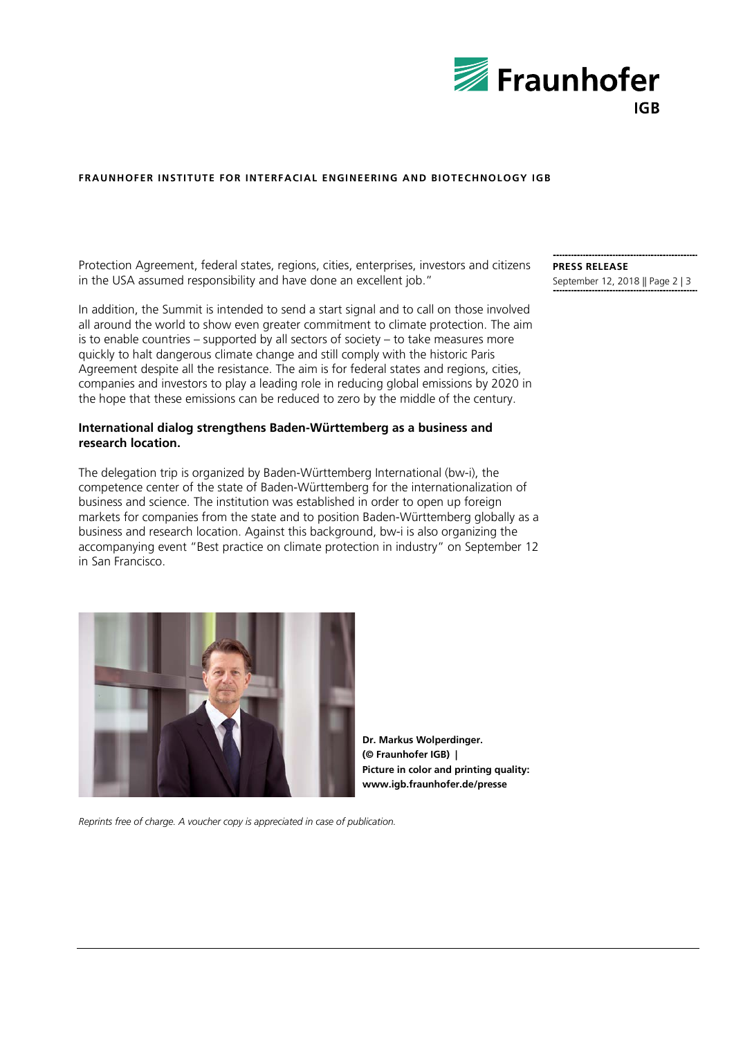

## **FRAUNHOFER INSTITUTE FOR INTERFACIAL ENGINEERING AND BIOTECHNOLOGY IGB**

Protection Agreement, federal states, regions, cities, enterprises, investors and citizens in the USA assumed responsibility and have done an excellent job."

In addition, the Summit is intended to send a start signal and to call on those involved all around the world to show even greater commitment to climate protection. The aim is to enable countries – supported by all sectors of society – to take measures more quickly to halt dangerous climate change and still comply with the historic Paris Agreement despite all the resistance. The aim is for federal states and regions, cities, companies and investors to play a leading role in reducing global emissions by 2020 in the hope that these emissions can be reduced to zero by the middle of the century.

## **International dialog strengthens Baden-Württemberg as a business and research location.**

The delegation trip is organized by Baden-Württemberg International (bw-i), the competence center of the state of Baden-Württemberg for the internationalization of business and science. The institution was established in order to open up foreign markets for companies from the state and to position Baden-Württemberg globally as a business and research location. Against this background, bw-i is also organizing the accompanying event "Best practice on climate protection in industry" on September 12 in San Francisco.



**Dr. Markus Wolperdinger. (© Fraunhofer IGB) | Picture in color and printing quality: www.igb.fraunhofer.de/presse**

*Reprints free of charge. A voucher copy is appreciated in case of publication.*

**PRESS RELEASE** September 12, 2018 || Page 2 | 3